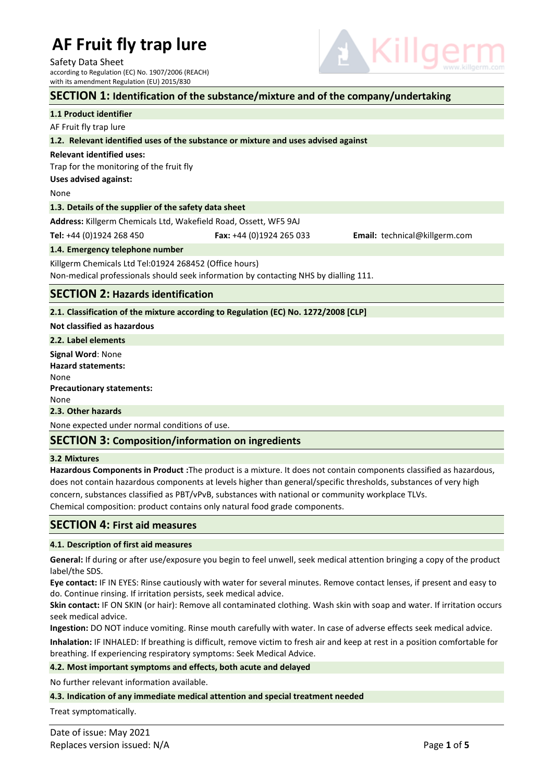Safety Data Sheet according to Regulation (EC) No. 1907/2006 (REACH)

# with its amendment Regulation (EU) 2015/830 **SECTION 1: Identification of the substance/mixture and of the company/undertaking 1.1 Product identifier** AF Fruit fly trap lure **1.2. Relevant identified uses of the substance or mixture and uses advised against Relevant identified uses:** Trap for the monitoring of the fruit fly **Uses advised against:**  None **1.3. Details of the supplier of the safety data sheet Address:** Killgerm Chemicals Ltd, Wakefield Road, Ossett, WF5 9AJ **Tel:** +44 (0)1924 268 450 **Fax:** +44 (0)1924 265 033 **Email:** [technical@killgerm.com](mailto:technical@killgerm.com) **1.4. Emergency telephone number** Killgerm Chemicals Ltd Tel:01924 268452 (Office hours) Non-medical professionals should seek information by contacting NHS by dialling 111. **SECTION 2: Hazards identification 2.1. Classification of the mixture according to Regulation (EC) No. 1272/2008 [CLP] Not classified as hazardous 2.2. Label elements Signal Word**: None **Hazard statements:** None **Precautionary statements:** None

**2.3. Other hazards**

None expected under normal conditions of use.

### **SECTION 3: Composition/information on ingredients**

#### **3.2 Mixtures**

**Hazardous Components in Product :**The product is a mixture. It does not contain components classified as hazardous, does not contain hazardous components at levels higher than general/specific thresholds, substances of very high concern, substances classified as PBT/vPvB, substances with national or community workplace TLVs. Chemical composition: product contains only natural food grade components.

### **SECTION 4: First aid measures**

#### **4.1. Description of first aid measures**

**General:** If during or after use/exposure you begin to feel unwell, seek medical attention bringing a copy of the product label/the SDS.

**Eye contact:** IF IN EYES: Rinse cautiously with water for several minutes. Remove contact lenses, if present and easy to do. Continue rinsing. If irritation persists, seek medical advice.

**Skin contact:** IF ON SKIN (or hair): Remove all contaminated clothing. Wash skin with soap and water. If irritation occurs seek medical advice.

**Ingestion:** DO NOT induce vomiting. Rinse mouth carefully with water. In case of adverse effects seek medical advice.

**Inhalation:** IF INHALED: If breathing is difficult, remove victim to fresh air and keep at rest in a position comfortable for breathing. If experiencing respiratory symptoms: Seek Medical Advice.

#### **4.2. Most important symptoms and effects, both acute and delayed**

No further relevant information available.

#### **4.3. Indication of any immediate medical attention and special treatment needed**

Treat symptomatically.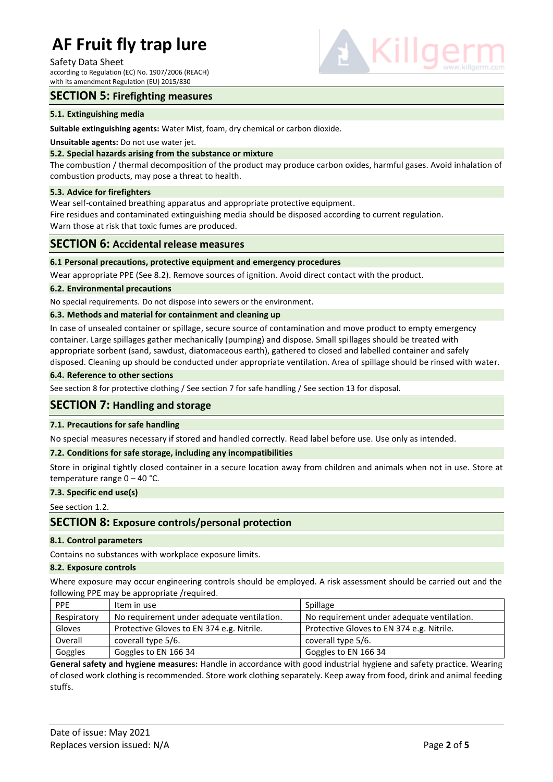#### Safety Data Sheet

according to Regulation (EC) No. 1907/2006 (REACH) with its amendment Regulation (EU) 2015/830



## **SECTION 5: Firefighting measures**

#### **5.1. Extinguishing media**

**Suitable extinguishing agents:** Water Mist, foam, dry chemical or carbon dioxide.

#### **Unsuitable agents:** Do not use water jet.

#### **5.2. Special hazards arising from the substance or mixture**

The combustion / thermal decomposition of the product may produce carbon oxides, harmful gases. Avoid inhalation of combustion products, may pose a threat to health.

#### **5.3. Advice for firefighters**

Wear self-contained breathing apparatus and appropriate protective equipment.

Fire residues and contaminated extinguishing media should be disposed according to current regulation. Warn those at risk that toxic fumes are produced.

#### **SECTION 6: Accidental release measures**

#### **6.1 Personal precautions, protective equipment and emergency procedures**

Wear appropriate PPE (See 8.2). Remove sources of ignition. Avoid direct contact with the product.

#### **6.2. Environmental precautions**

No special requirements. Do not dispose into sewers or the environment.

#### **6.3. Methods and material for containment and cleaning up**

In case of unsealed container or spillage, secure source of contamination and move product to empty emergency container. Large spillages gather mechanically (pumping) and dispose. Small spillages should be treated with appropriate sorbent (sand, sawdust, diatomaceous earth), gathered to closed and labelled container and safely disposed. Cleaning up should be conducted under appropriate ventilation. Area of spillage should be rinsed with water.

#### **6.4. Reference to other sections**

See section 8 for protective clothing / See section 7 for safe handling / See section 13 for disposal.

#### **SECTION 7: Handling and storage**

#### **7.1. Precautions for safe handling**

No special measures necessary if stored and handled correctly. Read label before use. Use only as intended.

#### **7.2. Conditions for safe storage, including any incompatibilities**

Store in original tightly closed container in a secure location away from children and animals when not in use. Store at temperature range 0 – 40 °C.

#### **7.3. Specific end use(s)**

See section 1.2.

### **SECTION 8: Exposure controls/personal protection**

#### **8.1. Control parameters**

Contains no substances with workplace exposure limits.

#### **8.2. Exposure controls**

Where exposure may occur engineering controls should be employed. A risk assessment should be carried out and the following PPE may be appropriate /required.

| <b>PPE</b>  | Item in use                                | Spillage                                   |
|-------------|--------------------------------------------|--------------------------------------------|
| Respiratory | No requirement under adequate ventilation. | No requirement under adequate ventilation. |
| Gloves      | Protective Gloves to EN 374 e.g. Nitrile.  | Protective Gloves to EN 374 e.g. Nitrile.  |
| Overall     | coverall type 5/6.                         | coverall type 5/6.                         |
| Goggles     | Goggles to EN 166 34                       | Goggles to EN 166 34                       |

**General safety and hygiene measures:** Handle in accordance with good industrial hygiene and safety practice. Wearing of closed work clothing is recommended. Store work clothing separately. Keep away from food, drink and animal feeding stuffs.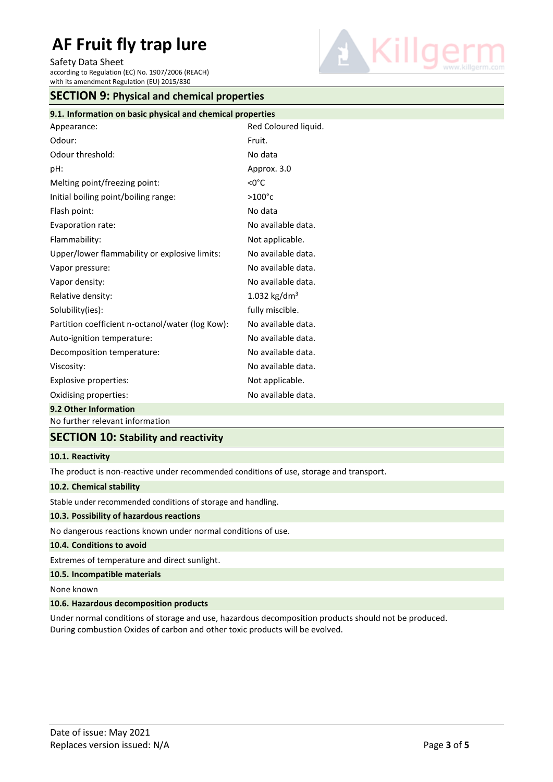Safety Data Sheet

according to Regulation (EC) No. 1907/2006 (REACH) with its amendment Regulation (EU) 2015/830



|  |  | <b>SECTION 9: Physical and chemical properties</b> |  |
|--|--|----------------------------------------------------|--|
|--|--|----------------------------------------------------|--|

| 9.1. Information on basic physical and chemical properties |                          |  |  |  |
|------------------------------------------------------------|--------------------------|--|--|--|
| Appearance:                                                | Red Coloured liquid.     |  |  |  |
| Odour:                                                     | Fruit.                   |  |  |  |
| Odour threshold:                                           | No data                  |  |  |  |
| pH:                                                        | Approx. 3.0              |  |  |  |
| Melting point/freezing point:                              | $<$ 0 $^{\circ}$ C       |  |  |  |
| Initial boiling point/boiling range:                       | $>100^{\circ}$ c         |  |  |  |
| Flash point:                                               | No data                  |  |  |  |
| Evaporation rate:                                          | No available data.       |  |  |  |
| Flammability:                                              | Not applicable.          |  |  |  |
| Upper/lower flammability or explosive limits:              | No available data.       |  |  |  |
| Vapor pressure:                                            | No available data.       |  |  |  |
| Vapor density:                                             | No available data.       |  |  |  |
| Relative density:                                          | 1.032 kg/dm <sup>3</sup> |  |  |  |
| Solubility(ies):                                           | fully miscible.          |  |  |  |
| Partition coefficient n-octanol/water (log Kow):           | No available data.       |  |  |  |
| Auto-ignition temperature:                                 | No available data.       |  |  |  |
| Decomposition temperature:                                 | No available data.       |  |  |  |
| Viscosity:                                                 | No available data.       |  |  |  |
| Explosive properties:                                      | Not applicable.          |  |  |  |
| Oxidising properties:                                      | No available data.       |  |  |  |
| 9.2 Other Information                                      |                          |  |  |  |

No further relevant information

# **SECTION 10: Stability and reactivity**

#### **10.1. Reactivity**

The product is non-reactive under recommended conditions of use, storage and transport.

#### **10.2. Chemical stability**

Stable under recommended conditions of storage and handling.

#### **10.3. Possibility of hazardous reactions**

No dangerous reactions known under normal conditions of use.

#### **10.4. Conditions to avoid**

Extremes of temperature and direct sunlight.

## **10.5. Incompatible materials**

None known

#### **10.6. Hazardous decomposition products**

Under normal conditions of storage and use, hazardous decomposition products should not be produced. During combustion Oxides of carbon and other toxic products will be evolved.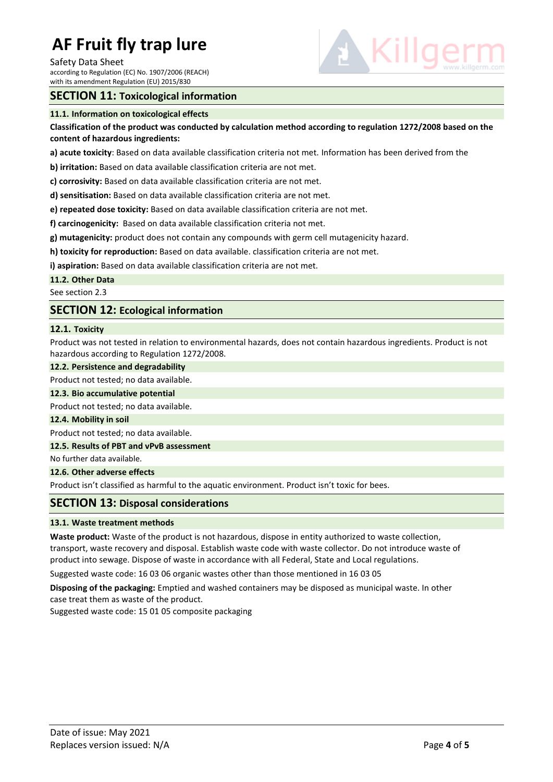#### Safety Data Sheet

according to Regulation (EC) No. 1907/2006 (REACH) with its amendment Regulation (EU) 2015/830

# **SECTION 11: Toxicological information**

## **11.1. Information on toxicological effects**

# **Classification of the product was conducted by calculation method according to regulation 1272/2008 based on the content of hazardous ingredients:**

**a) acute toxicity**: Based on data available classification criteria not met. Information has been derived from the

**b) irritation:** Based on data available classification criteria are not met.

**c) corrosivity:** Based on data available classification criteria are not met.

**d) sensitisation:** Based on data available classification criteria are not met.

**e) repeated dose toxicity:** Based on data available classification criteria are not met.

**f) carcinogenicity:** Based on data available classification criteria not met.

**g) mutagenicity:** product does not contain any compounds with germ cell mutagenicity hazard.

**h) toxicity for reproduction:** Based on data available. classification criteria are not met.

**i) aspiration:** Based on data available classification criteria are not met.

**11.2. Other Data**

See section 2.3

# **SECTION 12: Ecological information**

# **12.1. Toxicity**

Product was not tested in relation to environmental hazards, does not contain hazardous ingredients. Product is not hazardous according to Regulation 1272/2008.

# **12.2. Persistence and degradability**

Product not tested; no data available.

**12.3. Bio accumulative potential**

Product not tested; no data available.

**12.4. Mobility in soil**

Product not tested; no data available.

# **12.5. Results of PBT and vPvB assessment**

No further data available.

**12.6. Other adverse effects**

Product isn't classified as harmful to the aquatic environment. Product isn't toxic for bees.

# **SECTION 13: Disposal considerations**

# **13.1. Waste treatment methods**

**Waste product:** Waste of the product is not hazardous, dispose in entity authorized to waste collection, transport, waste recovery and disposal. Establish waste code with waste collector. Do not introduce waste of product into sewage. Dispose of waste in accordance with all Federal, State and Local regulations.

Suggested waste code: 16 03 06 organic wastes other than those mentioned in 16 03 05

**Disposing of the packaging:** Emptied and washed containers may be disposed as municipal waste. In other case treat them as waste of the product.

Suggested waste code: 15 01 05 composite packaging